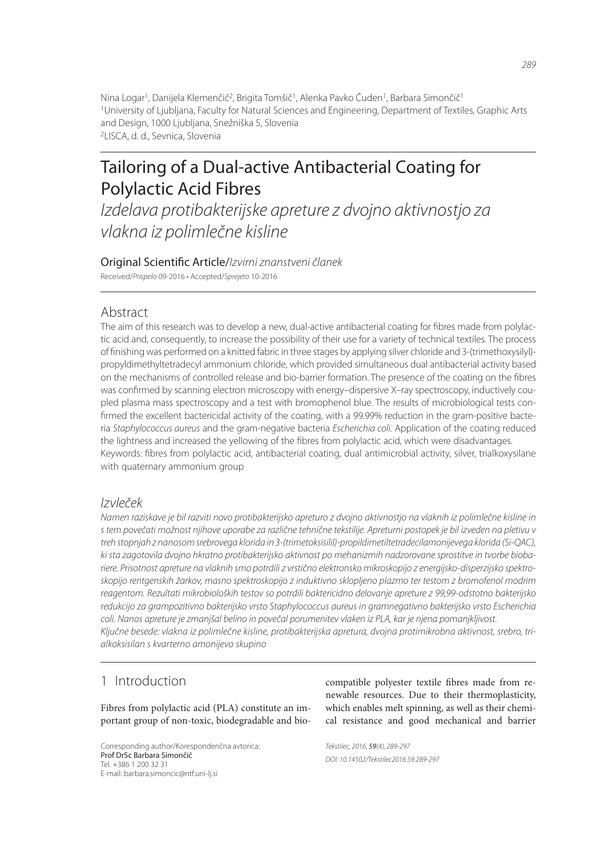Nina Logar<sup>1</sup>, Danijela Klemenčič<sup>2</sup>, Brigita Tomšič<sup>1</sup>, Alenka Pavko Čuden<sup>1</sup>, Barbara Simončič<sup>1</sup> <sup>1</sup>University of Ljubljana, Faculty for Natural Sciences and Engineering, Department of Textiles, Graphic Arts and Design, 1000 Ljubljana, Snežniška 5, Slovenia <sup>2</sup>LISCA, d. d., Sevnica, Slovenia

# Tailoring of a Dual-active Antibacterial Coating for Polylactic Acid Fibres

*Izdelava protibakterijske apreture z dvojno aktivnostjo za vlakna iz polimlečne kisline*

# Original Scienti! c Article/*Izvirni znanstveni članek*

Received/*Prispelo* 09-2016 • Accepted/*Sprejeto* 10-2016

# Abstract

The aim of this research was to develop a new, dual-active antibacterial coating for fibres made from polylactic acid and, consequently, to increase the possibility of their use for a variety of technical textiles. The process of finishing was performed on a knitted fabric in three stages by applying silver chloride and 3-(trimethoxysilyl)propyldimethyltetradecyl ammonium chloride, which provided simultaneous dual antibacterial activity based on the mechanisms of controlled release and bio-barrier formation. The presence of the coating on the fibres was confirmed by scanning electron microscopy with energy–dispersive X–ray spectroscopy, inductively coupled plasma mass spectroscopy and a test with bromophenol blue. The results of microbiological tests confirmed the excellent bactericidal activity of the coating, with a 99.99% reduction in the gram-positive bacteria *Staphylococcus aureus* and the gram-negative bacteria *Escherichia coli.* Application of the coating reduced the lightness and increased the yellowing of the fibres from polylactic acid, which were disadvantages. Keywords: fibres from polylactic acid, antibacterial coating, dual antimicrobial activity, silver, trialkoxysilane with quaternary ammonium group

### *Izvleček*

*Namen raziskave je bil razviti novo protibakterijsko apreturo z dvojno aktivnostjo na vlaknih iz polimlečne kisline in s tem povečati možnost njihove uporabe za različne tehnične tekstilije. Apreturni postopek je bil izveden na pletivu v treh stopnjah z nanosom srebrovega klorida in 3-(trimetoksisilil)-propildimetiltetradecilamonijevega klorida (Si-QAC), ki sta zagotovila dvojno hkratno protibakterijsko aktivnost po mehanizmih nadzorovane sprostitve in tvorbe biobariere. Prisotnost apreture na vlaknih smo potrdili z vrstično elektronsko mikroskopijo z energijsko-disperzijsko spektroskopijo rentgenskih žarkov, masno spektroskopijo z induktivno sklopljeno plazmo ter testom z bromofenol modrim reagentom. Rezultati mikrobioloških testov so potrdili baktericidno delovanje apreture z 99,99-odstotno bakterijsko redukcijo za grampozitivno bakterijsko vrsto Staphylococcus aureus in gramnegativno bakterijsko vrsto Escherichia coli. Nanos apreture je zmanjšal belino in povečal porumenitev vlaken iz PLA, kar je njena pomanjkljivost. Ključne besede: vlakna iz polimlečne kisline, protibakterijska apretura, dvojna protimikrobna aktivnost, srebro, trialkoksisilan s kvarterno amonijevo skupino*

# 1 Introduction

Fibres from polylactic acid (PLA) constitute an important group of non-toxic, biodegradable and bio-

Corresponding author/Korespondenčna avtorica: Prof DrSc Barbara Simončič Tel. +386 1 200 32 31 E-mail: barbara.simoncic@ntf.uni-lj.si

compatible polyester textile fibres made from renewable resources. Due to their thermoplasticity, which enables melt spinning, as well as their chemical resistance and good mechanical and barrier

*Tekstilec, 2016,* 59*(4), 289-297 DOI: 10.14502/Tekstilec2016.59.289-297*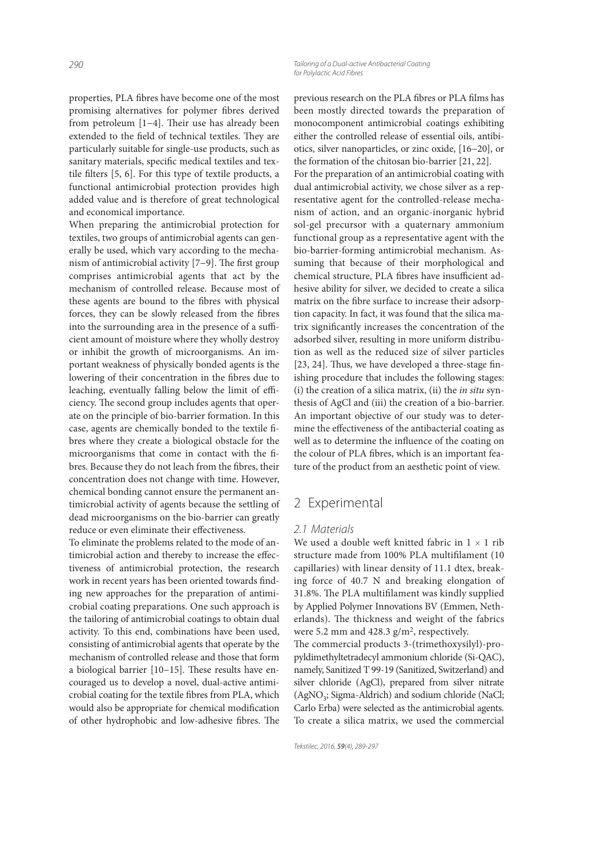properties, PLA fibres have become one of the most promising alternatives for polymer fibres derived from petroleum  $[1-4]$ . Their use has already been extended to the field of technical textiles. They are particularly suitable for single-use products, such as sanitary materials, specific medical textiles and textile filters  $[5, 6]$ . For this type of textile products, a functional antimicrobial protection provides high added value and is therefore of great technological and economical importance.

When preparing the antimicrobial protection for textiles, two groups of antimicrobial agents can generally be used, which vary according to the mechanism of antimicrobial activity [7−9]. The first group comprises antimicrobial agents that act by the mechanism of controlled release. Because most of these agents are bound to the fibres with physical forces, they can be slowly released from the fibres into the surrounding area in the presence of a sufficient amount of moisture where they wholly destroy or inhibit the growth of microorganisms. An important weakness of physically bonded agents is the lowering of their concentration in the fibres due to leaching, eventually falling below the limit of efficiency. The second group includes agents that operate on the principle of bio-barrier formation. In this case, agents are chemically bonded to the textile fibres where they create a biological obstacle for the microorganisms that come in contact with the fibres. Because they do not leach from the fibres, their concentration does not change with time. However, chemical bonding cannot ensure the permanent antimicrobial activity of agents because the settling of dead microorganisms on the bio-barrier can greatly reduce or even eliminate their effectiveness.

To eliminate the problems related to the mode of antimicrobial action and thereby to increase the effectiveness of antimicrobial protection, the research work in recent years has been oriented towards finding new approaches for the preparation of antimicrobial coating preparations. One such approach is the tailoring of antimicrobial coatings to obtain dual activity. To this end, combinations have been used, consisting of antimicrobial agents that operate by the mechanism of controlled release and those that form a biological barrier [10−15]. These results have encouraged us to develop a novel, dual-active antimicrobial coating for the textile fibres from PLA, which would also be appropriate for chemical modification of other hydrophobic and low-adhesive fibres. The

previous research on the PLA fibres or PLA films has been mostly directed towards the preparation of monocomponent antimicrobial coatings exhibiting either the controlled release of essential oils, antibiotics, silver nanoparticles, or zinc oxide, [16−20], or

the formation of the chitosan bio-barrier [21, 22]. For the preparation of an antimicrobial coating with dual antimicrobial activity, we chose silver as a representative agent for the controlled-release mechanism of action, and an organic-inorganic hybrid sol-gel precursor with a quaternary ammonium functional group as a representative agent with the bio-barrier-forming antimicrobial mechanism. Assuming that because of their morphological and chemical structure, PLA fibres have insufficient adhesive ability for silver, we decided to create a silica matrix on the fibre surface to increase their adsorption capacity. In fact, it was found that the silica matrix significantly increases the concentration of the adsorbed silver, resulting in more uniform distribution as well as the reduced size of silver particles  $[23, 24]$ . Thus, we have developed a three-stage finishing procedure that includes the following stages: (i) the creation of a silica matrix, (ii) the *in situ* synthesis of AgCl and (iii) the creation of a bio-barrier. An important objective of our study was to determine the effectiveness of the antibacterial coating as well as to determine the influence of the coating on the colour of PLA fibres, which is an important feature of the product from an aesthetic point of view.

# 2 Experimental

#### *2.1 Materials*

We used a double weft knitted fabric in  $1 \times 1$  rib structure made from 100% PLA multifilament (10 capillaries) with linear density of 11.1 dtex, breaking force of 40.7 N and breaking elongation of 31.8%. The PLA multifilament was kindly supplied by Applied Polymer Innovations BV (Emmen, Netherlands). The thickness and weight of the fabrics were 5.2 mm and  $428.3$  g/m<sup>2</sup>, respectively. The commercial products 3-(trimethoxysilyl)-propyldimethyltetradecyl ammonium chloride (Si-QAC),

namely, Sanitized T 99-19 (Sanitized, Switzerland) and silver chloride (AgCl), prepared from silver nitrate (AgNO<sub>3</sub>; Sigma-Aldrich) and sodium chloride (NaCl; Carlo Erba) were selected as the antimicrobial agents. To create a silica matrix, we used the commercial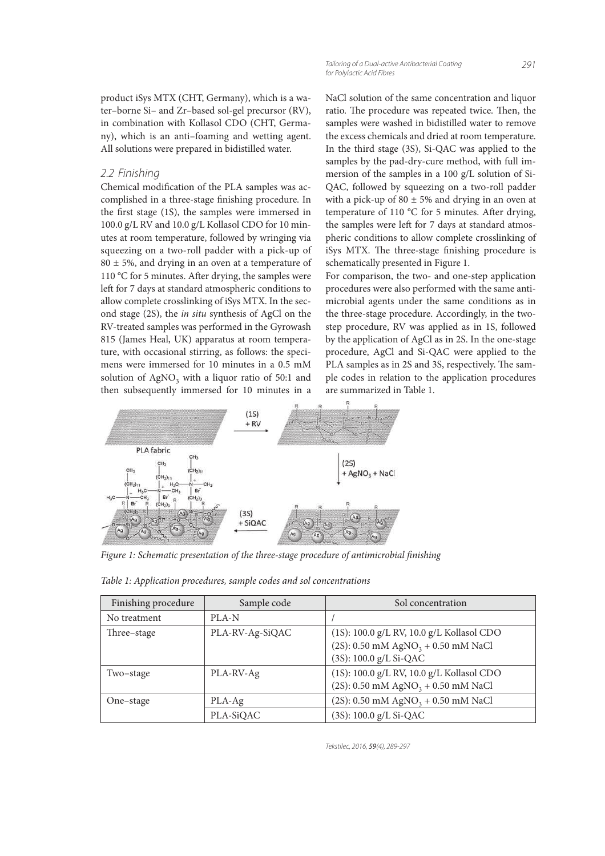product iSys MTX (CHT, Germany), which is a water–borne Si– and Zr–based sol-gel precursor (RV), in combination with Kollasol CDO (CHT, Germany), which is an anti–foaming and wetting agent. All solutions were prepared in bidistilled water.

#### *2.2 Finishing*

Chemical modification of the PLA samples was accomplished in a three-stage finishing procedure. In the first stage (1S), the samples were immersed in 100.0 g/L RV and 10.0 g/L Kollasol CDO for 10 minutes at room temperature, followed by wringing via squeezing on a two-roll padder with a pick-up of  $80 \pm 5$ %, and drying in an oven at a temperature of 110 °C for 5 minutes. After drying, the samples were left for 7 days at standard atmospheric conditions to allow complete crosslinking of iSys MTX. In the second stage (2S), the in situ synthesis of AgCl on the RV-treated samples was performed in the Gyrowash 815 (James Heal, UK) apparatus at room temperature, with occasional stirring, as follows: the specimens were immersed for 10 minutes in a 0.5 mM solution of  $\text{AgNO}_3$  with a liquor ratio of 50:1 and then subsequently immersed for 10 minutes in a

NaCl solution of the same concentration and liquor ratio. The procedure was repeated twice. Then, the samples were washed in bidistilled water to remove the excess chemicals and dried at room temperature. In the third stage (3S), Si-QAC was applied to the samples by the pad-dry-cure method, with full immersion of the samples in a 100 g/L solution of Si-QAC, followed by squeezing on a two-roll padder with a pick-up of  $80 \pm 5\%$  and drying in an oven at temperature of 110  $^{\circ}$ C for 5 minutes. After drying, the samples were left for 7 days at standard atmospheric conditions to allow complete crosslinking of iSys MTX. The three-stage finishing procedure is schematically presented in Figure 1.

For comparison, the two- and one-step application procedures were also performed with the same antimicrobial agents under the same conditions as in the three-stage procedure. Accordingly, in the twostep procedure, RV was applied as in 1S, followed by the application of AgCl as in 2S. In the one-stage procedure, AgCl and Si-QAC were applied to the PLA samples as in 2S and 3S, respectively. The sample codes in relation to the application procedures are summarized in Table 1.



Figure 1: Schematic presentation of the three-stage procedure of antimicrobial finishing

| Finishing procedure | Sample code     | Sol concentration                                |
|---------------------|-----------------|--------------------------------------------------|
| No treatment        | PLA-N           |                                                  |
| Three-stage         | PLA-RV-Ag-SiQAC | (1S): 100.0 g/L RV, 10.0 g/L Kollasol CDO        |
|                     |                 | $(2S): 0.50$ mM AgNO <sub>3</sub> + 0.50 mM NaCl |
|                     |                 | (3S): 100.0 g/L Si-QAC                           |
| Two-stage           | PLA-RV-Ag       | (1S): 100.0 g/L RV, 10.0 g/L Kollasol CDO        |
|                     |                 | $(2S): 0.50$ mM AgNO <sub>3</sub> + 0.50 mM NaCl |
| One-stage           | PLA-Ag          | $(2S): 0.50$ mM AgNO <sub>3</sub> + 0.50 mM NaCl |
|                     | PLA-SiQAC       | (3S): 100.0 g/L Si-QAC                           |

Table 1: Application procedures, sample codes and sol concentrations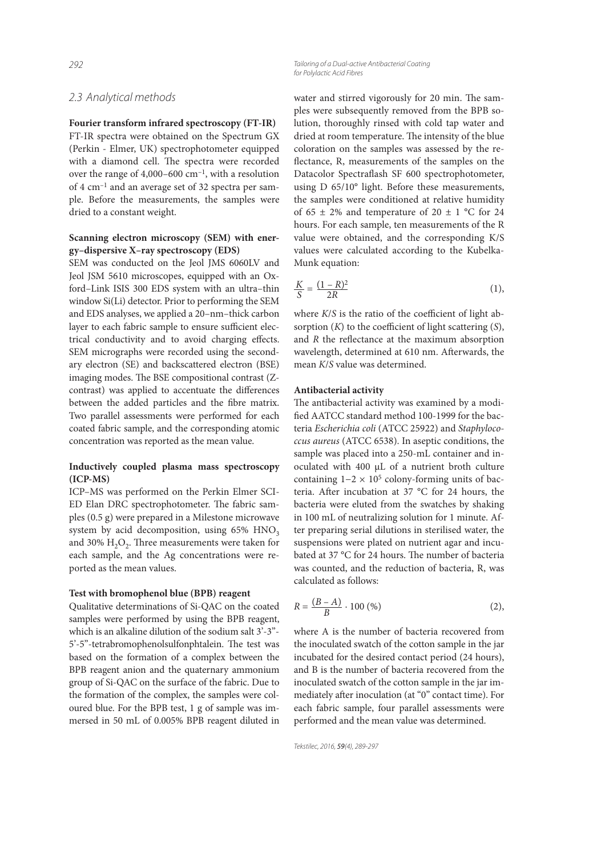#### *2.3 Analytical methods*

**Fourier transform infrared spectroscopy (FT-IR)**

FT-IR spectra were obtained on the Spectrum GX (Perkin - Elmer, UK) spectrophotometer equipped with a diamond cell. The spectra were recorded over the range of  $4,000-600$  cm<sup>-1</sup>, with a resolution of 4 cm–1 and an average set of 32 spectra per sample. Before the measurements, the samples were dried to a constant weight.

#### **Scanning electron microscopy (SEM) with energy–dispersive X–ray spectroscopy (EDS)**

SEM was conducted on the Jeol JMS 6060LV and Jeol JSM 5610 microscopes, equipped with an Oxford–Link ISIS 300 EDS system with an ultra–thin window Si(Li) detector. Prior to performing the SEM and EDS analyses, we applied a 20–nm–thick carbon layer to each fabric sample to ensure sufficient electrical conductivity and to avoid charging effects. SEM micrographs were recorded using the secondary electron (SE) and backscattered electron (BSE) imaging modes. The BSE compositional contrast (Zcontrast) was applied to accentuate the differences between the added particles and the fibre matrix. Two parallel assessments were performed for each coated fabric sample, and the corresponding atomic concentration was reported as the mean value.

#### **Inductively coupled plasma mass spectroscopy (ICP-MS)**

ICP–MS was performed on the Perkin Elmer SCI-ED Elan DRC spectrophotometer. The fabric samples (0.5 g) were prepared in a Milestone microwave system by acid decomposition, using  $65\%$  HNO<sub>3</sub> and 30%  $\rm H_2O_2$ . Three measurements were taken for each sample, and the Ag concentrations were reported as the mean values.

#### **Test with bromophenol blue (BPB) reagent**

Qualitative determinations of Si-QAC on the coated samples were performed by using the BPB reagent, which is an alkaline dilution of the sodium salt 3'-3"- 5'-5"-tetrabromophenolsulfonphtalein. The test was based on the formation of a complex between the BPB reagent anion and the quaternary ammonium group of Si-QAC on the surface of the fabric. Due to the formation of the complex, the samples were coloured blue. For the BPB test, 1 g of sample was immersed in 50 mL of 0.005% BPB reagent diluted in

*292 Tailoring of a Dual-active Antibacterial Coating for Polylactic Acid Fibres*

> water and stirred vigorously for 20 min. The samples were subsequently removed from the BPB solution, thoroughly rinsed with cold tap water and dried at room temperature. The intensity of the blue coloration on the samples was assessed by the re flectance, R, measurements of the samples on the Datacolor Spectraflash SF 600 spectrophotometer, using D 65/10° light. Before these measurements, the samples were conditioned at relative humidity of 65  $\pm$  2% and temperature of 20  $\pm$  1 °C for 24 hours. For each sample, ten measurements of the R value were obtained, and the corresponding K/S values were calculated according to the Kubelka-Munk equation:

$$
\frac{K}{S} = \frac{(1 - R)^2}{2R}
$$
 (1),

where  $K/S$  is the ratio of the coefficient of light absorption  $(K)$  to the coefficient of light scattering  $(S)$ , and  $R$  the reflectance at the maximum absorption wavelength, determined at 610 nm. Afterwards, the mean K/S value was determined.

#### **Antibacterial activity**

The antibacterial activity was examined by a modified AATCC standard method 100-1999 for the bacteria Escherichia coli (ATCC 25922) and Staphylococcus aureus (ATCC 6538). In aseptic conditions, the sample was placed into a 250-mL container and inoculated with 400 µL of a nutrient broth culture containing  $1-2 \times 10^5$  colony-forming units of bacteria. After incubation at 37 °C for 24 hours, the bacteria were eluted from the swatches by shaking in 100 mL of neutralizing solution for 1 minute. After preparing serial dilutions in sterilised water, the suspensions were plated on nutrient agar and incubated at 37 °C for 24 hours. The number of bacteria was counted, and the reduction of bacteria, R, was calculated as follows:

$$
R = \frac{(B - A)}{B} \cdot 100 \, (\%) \tag{2}
$$

where A is the number of bacteria recovered from the inoculated swatch of the cotton sample in the jar incubated for the desired contact period (24 hours), and B is the number of bacteria recovered from the inoculated swatch of the cotton sample in the jar immediately after inoculation (at "0" contact time). For each fabric sample, four parallel assessments were performed and the mean value was determined.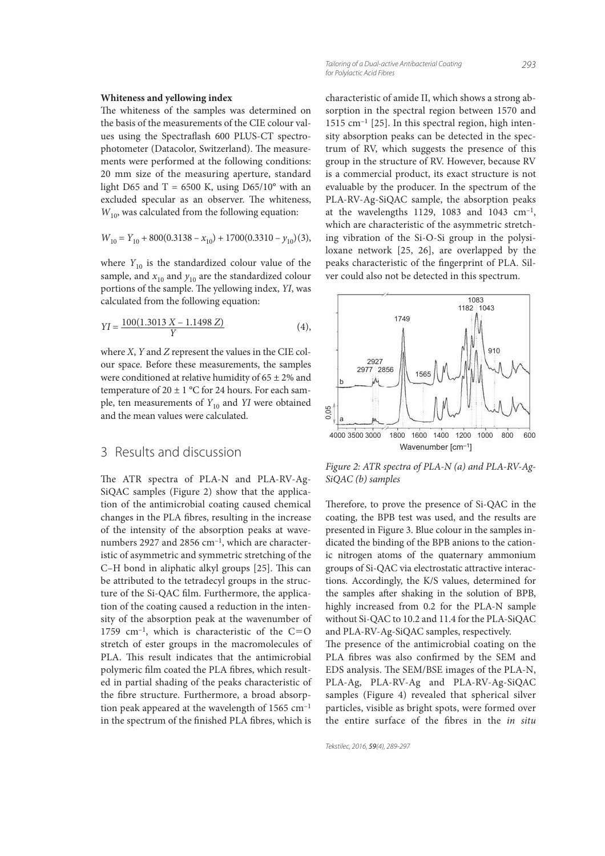#### **Whiteness and yellowing index**

The whiteness of the samples was determined on the basis of the measurements of the CIE colour values using the Spectraflash 600 PLUS-CT spectrophotometer (Datacolor, Switzerland). The measurements were performed at the following conditions: 20 mm size of the measuring aperture, standard light D65 and T = 6500 K, using D65/10 $^{\circ}$  with an excluded specular as an observer. The whiteness,  $W_{10}$ , was calculated from the following equation:

$$
W_{10} = Y_{10} + 800(0.3138 - x_{10}) + 1700(0.3310 - y_{10})(3),
$$

where  $Y_{10}$  is the standardized colour value of the sample, and  $x_{10}$  and  $y_{10}$  are the standardized colour portions of the sample. The yellowing index, YI, was calculated from the following equation:

$$
YI = \frac{100(1.3013 X - 1.1498 Z)}{Y}
$$
 (4),

where  $X$ ,  $Y$  and  $Z$  represent the values in the CIE colour space. Before these measurements, the samples were conditioned at relative humidity of  $65 \pm 2\%$  and temperature of  $20 \pm 1$  °C for 24 hours. For each sample, ten measurements of  $Y_{10}$  and YI were obtained and the mean values were calculated.

# 3 Results and discussion

The ATR spectra of PLA-N and PLA-RV-Ag-SiQAC samples (Figure 2) show that the application of the antimicrobial coating caused chemical changes in the PLA fibres, resulting in the increase of the intensity of the absorption peaks at wavenumbers 2927 and 2856 cm<sup>-1</sup>, which are characteristic of asymmetric and symmetric stretching of the C-H bond in aliphatic alkyl groups [25]. This can be attributed to the tetradecyl groups in the structure of the Si-QAC film. Furthermore, the application of the coating caused a reduction in the intensity of the absorption peak at the wavenumber of 1759 cm<sup>-1</sup>, which is characteristic of the  $C=O$ stretch of ester groups in the macromolecules of PLA. This result indicates that the antimicrobial polymeric film coated the PLA fibres, which resulted in partial shading of the peaks characteristic of the fibre structure. Furthermore, a broad absorption peak appeared at the wavelength of 1565 cm–1 in the spectrum of the finished PLA fibres, which is

characteristic of amide II, which shows a strong absorption in the spectral region between 1570 and 1515 cm–1 [25]. In this spectral region, high intensity absorption peaks can be detected in the spectrum of RV, which suggests the presence of this group in the structure of RV. However, because RV is a commercial product, its exact structure is not evaluable by the producer. In the spectrum of the PLA-RV-Ag-SiQAC sample, the absorption peaks at the wavelengths 1129, 1083 and 1043  $cm^{-1}$ , which are characteristic of the asymmetric stretching vibration of the Si-O-Si group in the polysiloxane network [25, 26], are overlapped by the peaks characteristic of the ngerprint of PLA. Silver could also not be detected in this spectrum.



Figure 2: ATR spectra of PLA-N (a) and PLA-RV-Ag-SiQAC (b) samples

Therefore, to prove the presence of Si-QAC in the coating, the BPB test was used, and the results are presented in Figure 3. Blue colour in the samples indicated the binding of the BPB anions to the cationic nitrogen atoms of the quaternary ammonium groups of Si-QAC via electrostatic attractive interactions. Accordingly, the K/S values, determined for the samples after shaking in the solution of BPB, highly increased from 0.2 for the PLA-N sample without Si-QAC to 10.2 and 11.4 for the PLA-SiQAC and PLA-RV-Ag-SiQAC samples, respectively.

The presence of the antimicrobial coating on the PLA fibres was also confirmed by the SEM and EDS analysis. The SEM/BSE images of the PLA-N, PLA-Ag, PLA-RV-Ag and PLA-RV-Ag-SiQAC samples (Figure 4) revealed that spherical silver particles, visible as bright spots, were formed over the entire surface of the fibres in the in situ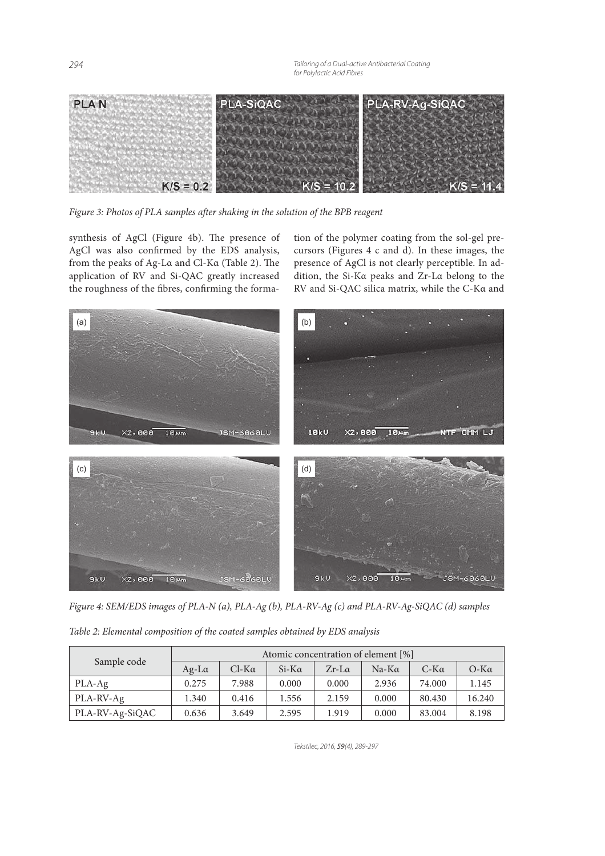*294 Tailoring of a Dual-active Antibacterial Coating for Polylactic Acid Fibres*



Figure 3: Photos of PLA samples after shaking in the solution of the BPB reagent

synthesis of AgCl (Figure 4b). The presence of AgCl was also confirmed by the EDS analysis, from the peaks of Ag-La and Cl-Ka (Table 2). The application of RV and Si-QAC greatly increased the roughness of the fibres, confirming the formation of the polymer coating from the sol-gel precursors (Figures 4 c and d). In these images, the presence of AgCl is not clearly perceptible. In addition, the Si-Kα peaks and Zr-Lα belong to the RV and Si-QAC silica matrix, while the C-Kα and



Figure 4: SEM/EDS images of PLA-N (a), PLA-Ag (b), PLA-RV-Ag (c) and PLA-RV-Ag-SiQAC (d) samples

Table 2: Elemental composition of the coated samples obtained by EDS analysis

| Sample code     | Atomic concentration of element [%] |              |              |              |              |             |             |
|-----------------|-------------------------------------|--------------|--------------|--------------|--------------|-------------|-------------|
|                 | $Ag-L\alpha$                        | $Cl-K\alpha$ | $Si-K\alpha$ | $Zr-L\alpha$ | $Na-K\alpha$ | $C-K\alpha$ | $O-K\alpha$ |
| PLA-Ag          | 0.275                               | 7.988        | 0.000        | 0.000        | 2.936        | 74.000      | 1.145       |
| PLA-RV-Ag       | 1.340                               | 0.416        | 1.556        | 2.159        | 0.000        | 80.430      | 16.240      |
| PLA-RV-Ag-SiQAC | 0.636                               | 3.649        | 2.595        | 1.919        | 0.000        | 83.004      | 8.198       |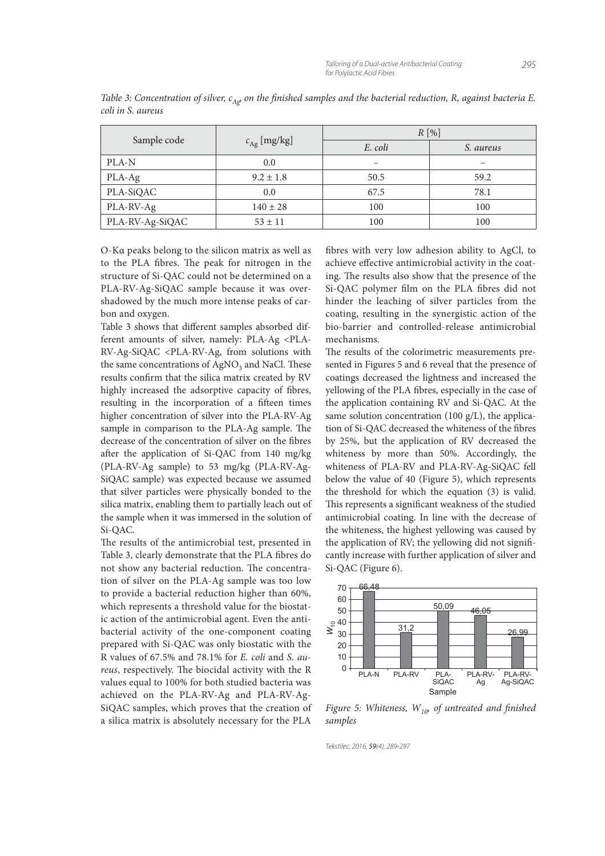|                 |               | $R[\%]$ |           |  |
|-----------------|---------------|---------|-----------|--|
| Sample code     | $cAg$ [mg/kg] | E. coli | S. aureus |  |
| PLA-N           | 0.0           | -       |           |  |
| PLA-Ag          | $9.2 \pm 1.8$ | 50.5    | 59.2      |  |
| PLA-SiQAC       | 0.0           | 67.5    | 78.1      |  |
| PLA-RV-Ag       | $140 \pm 28$  | 100     | 100       |  |
| PLA-RV-Ag-SiQAC | $53 \pm 11$   | 100     | 100       |  |

Table 3: Concentration of silver,  $c_{A\varphi}$  on the finished samples and the bacterial reduction, R, against bacteria E. coli in S. aureus

O-Kα peaks belong to the silicon matrix as well as to the PLA fibres. The peak for nitrogen in the structure of Si-QAC could not be determined on a PLA-RV-Ag-SiQAC sample because it was overshadowed by the much more intense peaks of carbon and oxygen.

Table 3 shows that different samples absorbed different amounts of silver, namely: PLA-Ag <PLA-RV-Ag-SiQAC <PLA-RV-Ag, from solutions with the same concentrations of  $\mathrm{AgNO}_{3}$  and NaCl. These results confirm that the silica matrix created by RV highly increased the adsorptive capacity of fibres, resulting in the incorporation of a fifteen times higher concentration of silver into the PLA-RV-Ag sample in comparison to the PLA-Ag sample. The decrease of the concentration of silver on the fibres after the application of Si-QAC from 140 mg/kg (PLA-RV-Ag sample) to 53 mg/kg (PLA-RV-Ag-SiQAC sample) was expected because we assumed that silver particles were physically bonded to the silica matrix, enabling them to partially leach out of the sample when it was immersed in the solution of Si-QAC.

The results of the antimicrobial test, presented in Table 3, clearly demonstrate that the PLA fibres do not show any bacterial reduction. The concentration of silver on the PLA-Ag sample was too low to provide a bacterial reduction higher than 60%, which represents a threshold value for the biostatic action of the antimicrobial agent. Even the antibacterial activity of the one-component coating prepared with Si-QAC was only biostatic with the R values of 67.5% and 78.1% for E. coli and S. aureus, respectively. The biocidal activity with the R values equal to 100% for both studied bacteria was achieved on the PLA-RV-Ag and PLA-RV-Ag-SiQAC samples, which proves that the creation of a silica matrix is absolutely necessary for the PLA

 bres with very low adhesion ability to AgCl, to achieve effective antimicrobial activity in the coating. The results also show that the presence of the Si-QAC polymer film on the PLA fibres did not hinder the leaching of silver particles from the coating, resulting in the synergistic action of the bio-barrier and controlled-release antimicrobial mechanisms.

The results of the colorimetric measurements presented in Figures 5 and 6 reveal that the presence of coatings decreased the lightness and increased the yellowing of the PLA fibres, especially in the case of the application containing RV and Si-QAC. At the same solution concentration (100 g/L), the application of Si-QAC decreased the whiteness of the fibres by 25%, but the application of RV decreased the whiteness by more than 50%. Accordingly, the whiteness of PLA-RV and PLA-RV-Ag-SiQAC fell below the value of 40 (Figure 5), which represents the threshold for which the equation (3) is valid. This represents a significant weakness of the studied antimicrobial coating. In line with the decrease of the whiteness, the highest yellowing was caused by the application of RV; the yellowing did not significantly increase with further application of silver and Si-QAC (Figure 6).



Figure 5: Whiteness,  $W_{10}$  of untreated and finished samples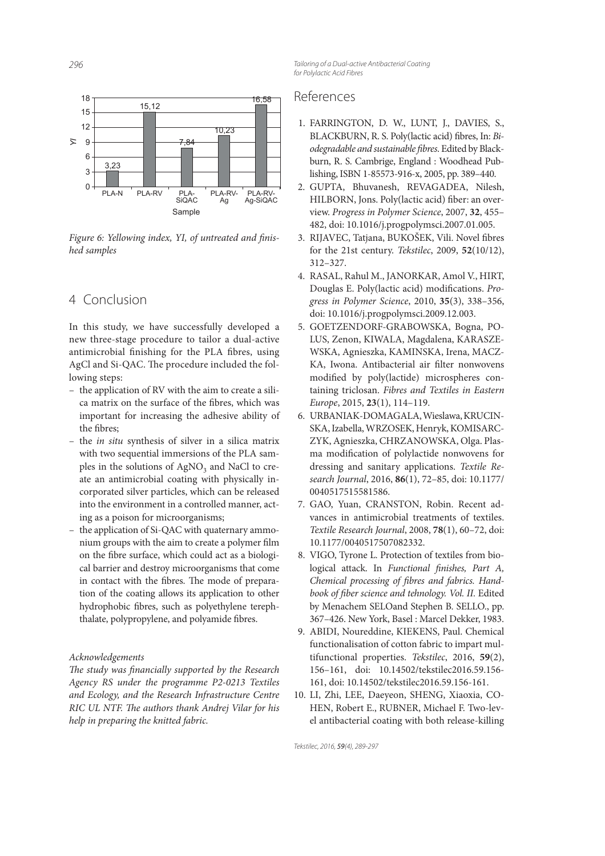

Figure 6: Yellowing index, YI, of untreated and finished samples

# 4 Conclusion

In this study, we have successfully developed a new three-stage procedure to tailor a dual-active antimicrobial finishing for the PLA fibres, using AgCl and Si-QAC. The procedure included the following steps:

- the application of RV with the aim to create a silica matrix on the surface of the fibres, which was important for increasing the adhesive ability of the fibres;
- the in situ synthesis of silver in a silica matrix with two sequential immersions of the PLA samples in the solutions of  $\text{AgNO}_3$  and NaCl to create an antimicrobial coating with physically incorporated silver particles, which can be released into the environment in a controlled manner, acting as a poison for microorganisms;
- the application of Si-QAC with quaternary ammonium groups with the aim to create a polymer film on the fibre surface, which could act as a biological barrier and destroy microorganisms that come in contact with the fibres. The mode of preparation of the coating allows its application to other hydrophobic fibres, such as polyethylene terephthalate, polypropylene, and polyamide fibres.

#### Acknowledgements

The study was financially supported by the Research Agency RS under the programme P2-0213 Textiles and Ecology, and the Research Infrastructure Centre RIC UL NTF. The authors thank Andrej Vilar for his help in preparing the knitted fabric.

*296 Tailoring of a Dual-active Antibacterial Coating for Polylactic Acid Fibres*

# References

- 1. FARRINGTON, D. W., LUNT, J., DAVIES, S., BLACKBURN, R. S. Poly(lactic acid) fibres, In: Biodegradable and sustainable fibres. Edited by Blackburn, R. S. Cambrige, England : Woodhead Publishing, ISBN 1-85573-916-x, 2005, pp. 389–440.
- 2. GUPTA, Bhuvanesh, REVAGADEA, Nilesh, HILBORN, Jons. Poly(lactic acid) fiber: an overview. Progress in Polymer Science, 2007, **32**, 455– 482, doi: 10.1016/j.progpolymsci.2007.01.005.
- 3. RIJAVEC, Tatjana, BUKOŠEK, Vili. Novel fibres for the 21st century. Tekstilec, 2009, **52**(10/12), 312–327.
- 4. RASAL, Rahul M., JANORKAR, Amol V., HIRT, Douglas E. Poly(lactic acid) modifications. Progress in Polymer Science, 2010, **35**(3), 338–356, doi: 10.1016/j.progpolymsci.2009.12.003.
- 5. GOETZENDORF-GRABOWSKA, Bogna, PO-LUS, Zenon, KIWALA, Magdalena, KARASZE-WSKA, Agnieszka, KAMINSKA, Irena, MACZ-KA, Iwona. Antibacterial air filter nonwovens modified by poly(lactide) microspheres containing triclosan. Fibres and Textiles in Eastern Europe, 2015, **23**(1), 114–119.
- 6. URBANIAK-DOMAGALA, Wieslawa, KRUCIN-SKA, Izabella, WRZOSEK, Henryk, KOMISARC-ZYK, Agnieszka, CHRZANOWSKA, Olga. Plasma modification of polylactide nonwovens for dressing and sanitary applications. Textile Research Journal, 2016, **86**(1), 72–85, doi: 10.1177/ 0040517515581586.
- 7. GAO, Yuan, CRANSTON, Robin. Recent advances in antimicrobial treatments of textiles. Textile Research Journal, 2008, **78**(1), 60–72, doi: 10.1177/0040517507082332.
- 8. VIGO, Tyrone L. Protection of textiles from biological attack. In Functional finishes, Part A, Chemical processing of fibres and fabrics. Handbook of fiber science and tehnology. Vol. II. Edited by Menachem SELOand Stephen B. SELLO., pp. 367–426. New York, Basel : Marcel Dekker, 1983.
- 9. ABIDI, Noureddine, KIEKENS, Paul. Chemical functionalisation of cotton fabric to impart multifunctional properties. Tekstilec, 2016, **59**(2), 156–161, doi: 10.14502/tekstilec2016.59.156- 161, doi: 10.14502/tekstilec2016.59.156-161.
- 10. LI, Zhi, LEE, Daeyeon, SHENG, Xiaoxia, CO-HEN, Robert E., RUBNER, Michael F. Two-level antibacterial coating with both release-killing